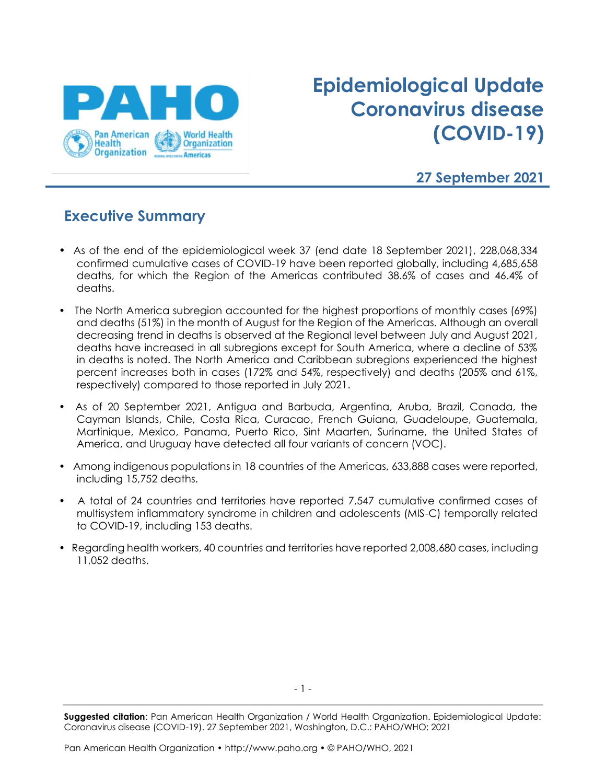

# **Epidemiological Update Coronavirus disease (COVID-19)**

#### **27 September 2021**

#### **Executive Summary**

- As of the end of the epidemiological week 37 (end date 18 September 2021), 228,068,334 confirmed cumulative cases of COVID-19 have been reported globally, including 4,685,658 deaths, for which the Region of the Americas contributed 38.6% of cases and 46.4% of deaths.
- The North America subregion accounted for the highest proportions of monthly cases (69%) and deaths (51%) in the month of August for the Region of the Americas. Although an overall decreasing trend in deaths is observed at the Regional level between July and August 2021, deaths have increased in all subregions except for South America, where a decline of 53% in deaths is noted. The North America and Caribbean subregions experienced the highest percent increases both in cases (172% and 54%, respectively) and deaths (205% and 61%, respectively) compared to those reported in July 2021.
- As of 20 September 2021, Antigua and Barbuda, Argentina, Aruba, Brazil, Canada, the Cayman Islands, Chile, Costa Rica, Curacao, French Guiana, Guadeloupe, Guatemala, Martinique, Mexico, Panama, Puerto Rico, Sint Maarten, Suriname, the United States of America, and Uruguay have detected all four variants of concern (VOC).
- Among indigenous populations in 18 countries of the Americas, 633,888 cases were reported, including 15,752 deaths.
- A total of 24 countries and territories have reported 7,547 cumulative confirmed cases of multisystem inflammatory syndrome in children and adolescents (MIS-C) temporally related to COVID-19, including 153 deaths.
- Regarding health workers, 40 countries and territories have reported 2,008,680 cases, including 11,052 deaths.

**Suggested citation**: Pan American Health Organization / World Health Organization. Epidemiological Update: Coronavirus disease (COVID-19). 27 September 2021, Washington, D.C.: PAHO/WHO; 2021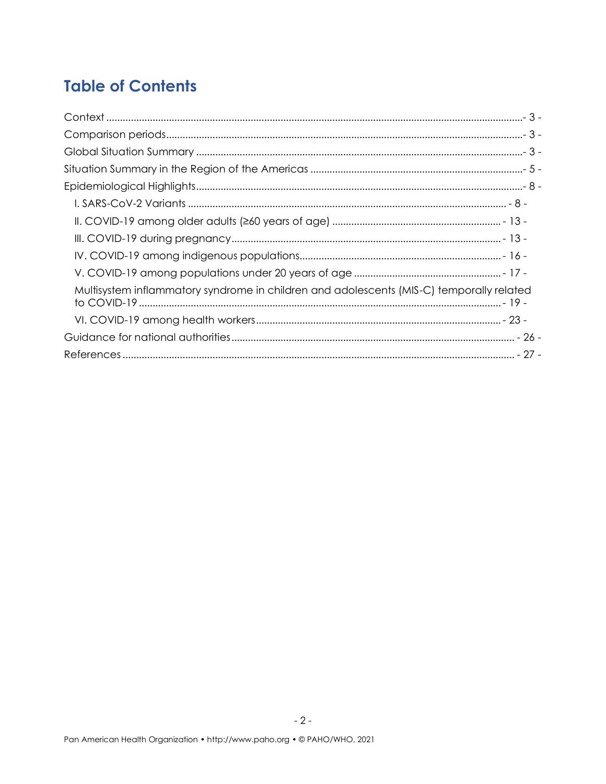## **Table of Contents**

<span id="page-1-0"></span>

| Multisystem inflammatory syndrome in children and adolescents (MIS-C) temporally related |
|------------------------------------------------------------------------------------------|
|                                                                                          |
|                                                                                          |
|                                                                                          |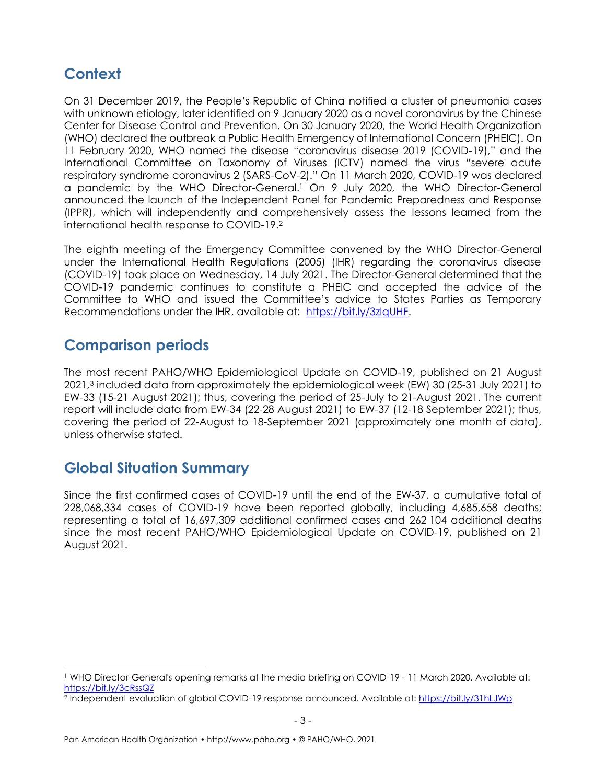### **Context**

On 31 December 2019, the People's Republic of China notified a cluster of pneumonia cases with unknown etiology, later identified on 9 January 2020 as a novel coronavirus by the Chinese Center for Disease Control and Prevention. On 30 January 2020, the World Health Organization (WHO) declared the outbreak a Public Health Emergency of International Concern (PHEIC). On 11 February 2020, WHO named the disease "coronavirus disease 2019 (COVID-19)," and the International Committee on Taxonomy of Viruses (ICTV) named the virus "severe acute respiratory syndrome coronavirus 2 (SARS-CoV-2)." On 11 March 2020, COVID-19 was declared a pandemic by the WHO Director-General. <sup>1</sup> On 9 July 2020, the WHO Director-General announced the launch of the Independent Panel for Pandemic Preparedness and Response (IPPR), which will independently and comprehensively assess the lessons learned from the international health response to COVID-19. 2

The eighth meeting of the Emergency Committee convened by the WHO Director-General under the International Health Regulations (2005) (IHR) regarding the coronavirus disease (COVID-19) took place on Wednesday, 14 July 2021. The Director-General determined that the COVID-19 pandemic continues to constitute a PHEIC and accepted the advice of the Committee to WHO and issued the Committee's advice to States Parties as Temporary Recommendations under the IHR, available at: [https://bit.ly/3zlqUHF.](https://bit.ly/3zlqUHF)

#### <span id="page-2-0"></span>**Comparison periods**

The most recent PAHO/WHO Epidemiological Update on COVID-19, published on 21 August 2021, <sup>3</sup> included data from approximately the epidemiological week (EW) 30 (25-31 July 2021) to EW-33 (15-21 August 2021); thus, covering the period of 25-July to 21-August 2021. The current report will include data from EW-34 (22-28 August 2021) to EW-37 (12-18 September 2021); thus, covering the period of 22-August to 18-September 2021 (approximately one month of data), unless otherwise stated.

#### <span id="page-2-1"></span>**Global Situation Summary**

Since the first confirmed cases of COVID-19 until the end of the EW-37, a cumulative total of 228,068,334 cases of COVID-19 have been reported globally, including 4,685,658 deaths; representing a total of 16,697,309 additional confirmed cases and 262 104 additional deaths since the most recent PAHO/WHO Epidemiological Update on COVID-19, published on 21 August 2021.

<sup>1</sup> WHO Director-General's opening remarks at the media briefing on COVID-19 - 11 March 2020. Available at: <https://bit.ly/3cRssQZ>

<sup>&</sup>lt;sup>2</sup> Independent evaluation of global COVID-19 response announced. Available at:<https://bit.ly/31hLJWp>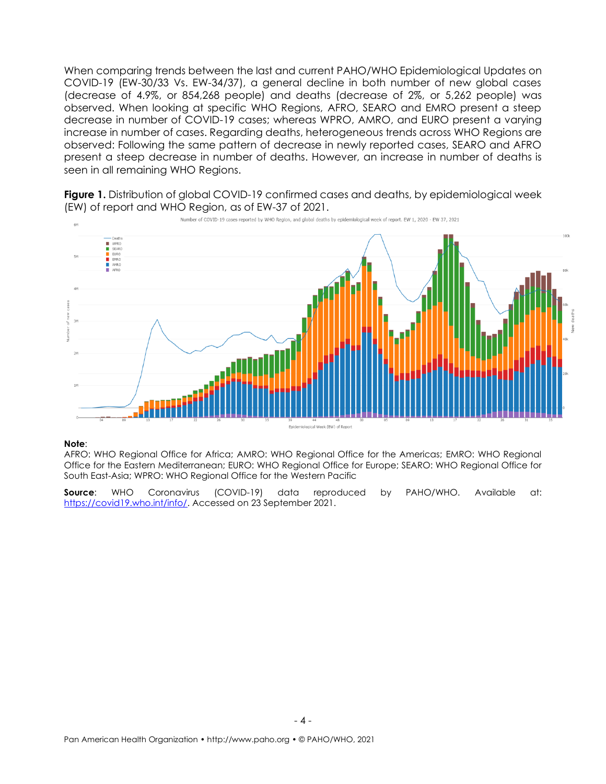When comparing trends between the last and current PAHO/WHO Epidemiological Updates on COVID-19 (EW-30/33 Vs. EW-34/37), a general decline in both number of new global cases (decrease of 4.9%, or 854,268 people) and deaths (decrease of 2%, or 5,262 people) was observed. When looking at specific WHO Regions, AFRO, SEARO and EMRO present a steep decrease in number of COVID-19 cases; whereas WPRO, AMRO, and EURO present a varying increase in number of cases. Regarding deaths, heterogeneous trends across WHO Regions are observed: Following the same pattern of decrease in newly reported cases, SEARO and AFRO present a steep decrease in number of deaths. However, an increase in number of deaths is seen in all remaining WHO Regions.



**Figure 1.** Distribution of global COVID-19 confirmed cases and deaths, by epidemiological week (EW) of report and WHO Region, as of EW-37 of 2021.

#### **Note**:

AFRO: WHO Regional Office for Africa; AMRO: WHO Regional Office for the Americas; EMRO: WHO Regional Office for the Eastern Mediterranean; EURO: WHO Regional Office for Europe; SEARO: WHO Regional Office for South East-Asia; WPRO: WHO Regional Office for the Western Pacific

<span id="page-3-0"></span>**Source**: WHO Coronavirus (COVID-19) data reproduced by PAHO/WHO. Available at: [https://covid19.who.int/info/.](https://covid19.who.int/info/) Accessed on 23 September 2021.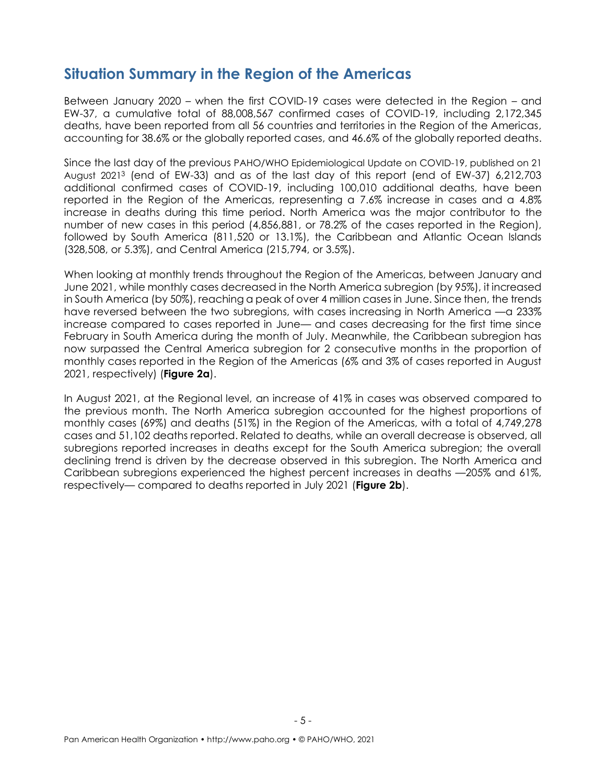#### **Situation Summary in the Region of the Americas**

Between January 2020 – when the first COVID-19 cases were detected in the Region – and EW-37, a cumulative total of 88,008,567 confirmed cases of COVID-19, including 2,172,345 deaths, have been reported from all 56 countries and territories in the Region of the Americas, accounting for 38.6% or the globally reported cases, and 46.6% of the globally reported deaths.

Since the last day of the previous PAHO/WHO Epidemiological Update on COVID-19, published on 21 August 2021<sup>3</sup> (end of EW-33) and as of the last day of this report (end of EW-37) 6,212,703 additional confirmed cases of COVID-19, including 100,010 additional deaths, have been reported in the Region of the Americas, representing a 7.6% increase in cases and a 4.8% increase in deaths during this time period. North America was the major contributor to the number of new cases in this period (4,856,881, or 78.2% of the cases reported in the Region), followed by South America (811,520 or 13.1%), the Caribbean and Atlantic Ocean Islands (328,508, or 5.3%), and Central America (215,794, or 3.5%).

When looking at monthly trends throughout the Region of the Americas, between January and June 2021, while monthly cases decreased in the North America subregion (by 95%), it increased in South America (by 50%), reaching a peak of over 4 million cases in June. Since then, the trends have reversed between the two subregions, with cases increasing in North America —a 233% increase compared to cases reported in June— and cases decreasing for the first time since February in South America during the month of July. Meanwhile, the Caribbean subregion has now surpassed the Central America subregion for 2 consecutive months in the proportion of monthly cases reported in the Region of the Americas (6% and 3% of cases reported in August 2021, respectively) (**Figure 2a**).

In August 2021, at the Regional level, an increase of 41% in cases was observed compared to the previous month. The North America subregion accounted for the highest proportions of monthly cases (69%) and deaths (51%) in the Region of the Americas, with a total of 4,749,278 cases and 51,102 deaths reported. Related to deaths, while an overall decrease is observed, all subregions reported increases in deaths except for the South America subregion; the overall declining trend is driven by the decrease observed in this subregion. The North America and Caribbean subregions experienced the highest percent increases in deaths —205% and 61%, respectively— compared to deaths reported in July 2021 (**Figure 2b**).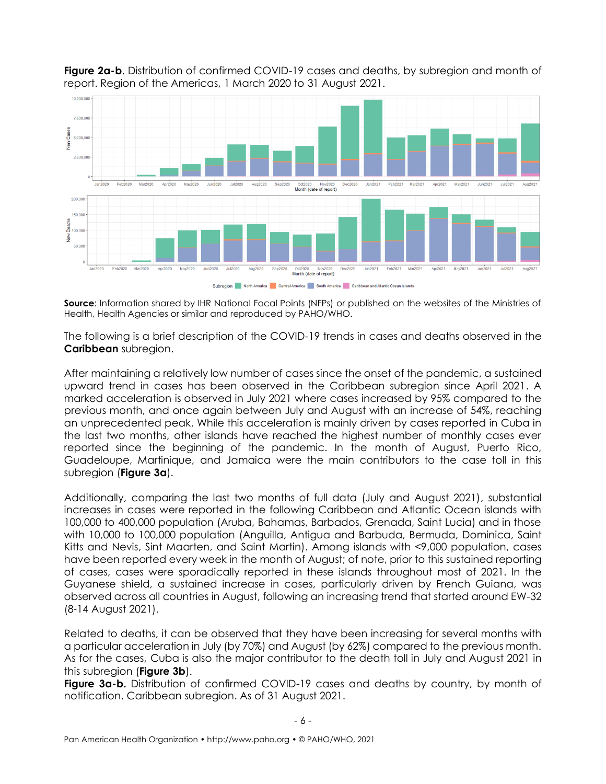

**Figure 2a-b**. Distribution of confirmed COVID-19 cases and deaths, by subregion and month of report. Region of the Americas, 1 March 2020 to 31 August 2021.

**Source**: Information shared by IHR National Focal Points (NFPs) or published on the websites of the Ministries of Health, Health Agencies or similar and reproduced by PAHO/WHO.

The following is a brief description of the COVID-19 trends in cases and deaths observed in the **Caribbean** subregion.

After maintaining a relatively low number of cases since the onset of the pandemic, a sustained upward trend in cases has been observed in the Caribbean subregion since April 2021. A marked acceleration is observed in July 2021 where cases increased by 95% compared to the previous month, and once again between July and August with an increase of 54%, reaching an unprecedented peak. While this acceleration is mainly driven by cases reported in Cuba in the last two months, other islands have reached the highest number of monthly cases ever reported since the beginning of the pandemic. In the month of August, Puerto Rico, Guadeloupe, Martinique, and Jamaica were the main contributors to the case toll in this subregion (**Figure 3a**).

Additionally, comparing the last two months of full data (July and August 2021), substantial increases in cases were reported in the following Caribbean and Atlantic Ocean islands with 100,000 to 400,000 population (Aruba, Bahamas, Barbados, Grenada, Saint Lucia) and in those with 10,000 to 100,000 population (Anguilla, Antigua and Barbuda, Bermuda, Dominica, Saint Kitts and Nevis, Sint Maarten, and Saint Martin). Among islands with <9,000 population, cases have been reported every week in the month of August; of note, prior to this sustained reporting of cases, cases were sporadically reported in these islands throughout most of 2021. In the Guyanese shield, a sustained increase in cases, particularly driven by French Guiana, was observed across all countries in August, following an increasing trend that started around EW-32 (8-14 August 2021).

Related to deaths, it can be observed that they have been increasing for several months with a particular acceleration in July (by 70%) and August (by 62%) compared to the previous month. As for the cases, Cuba is also the major contributor to the death toll in July and August 2021 in this subregion (**Figure 3b**).

**Figure 3a-b.** Distribution of confirmed COVID-19 cases and deaths by country, by month of notification. Caribbean subregion. As of 31 August 2021.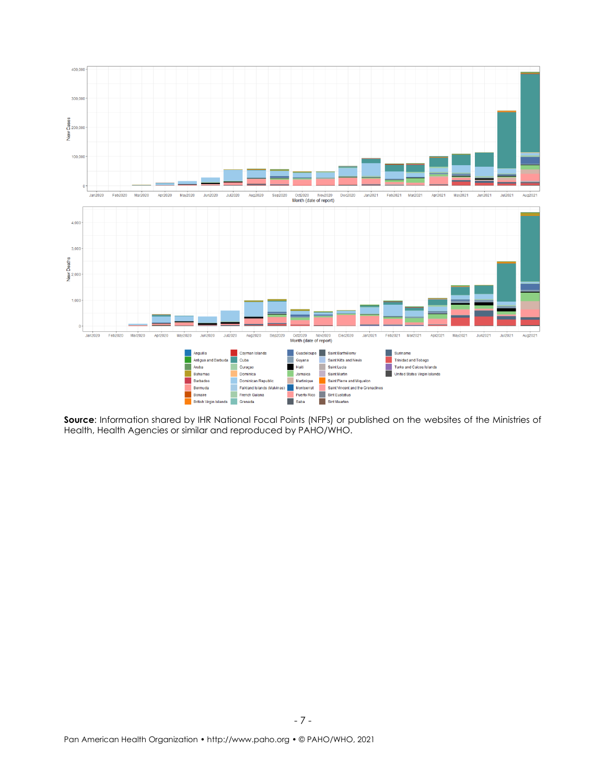

**Source:** Information shared by IHR National Focal Points (NFPs) or published on the websites of the Ministries of Health, Health Agencies or similar and reproduced by PAHO/WHO.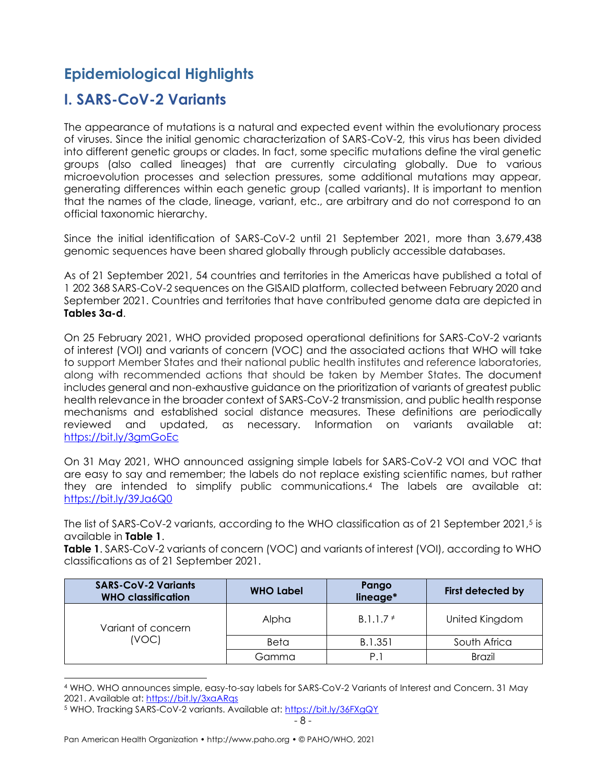### <span id="page-7-0"></span>**Epidemiological Highlights**

#### <span id="page-7-1"></span>**I. SARS-CoV-2 Variants**

The appearance of mutations is a natural and expected event within the evolutionary process of viruses. Since the initial genomic characterization of SARS-CoV-2, this virus has been divided into different genetic groups or clades. In fact, some specific mutations define the viral genetic groups (also called lineages) that are currently circulating globally. Due to various microevolution processes and selection pressures, some additional mutations may appear, generating differences within each genetic group (called variants). It is important to mention that the names of the clade, lineage, variant, etc., are arbitrary and do not correspond to an official taxonomic hierarchy.

Since the initial identification of SARS-CoV-2 until 21 September 2021, more than 3,679,438 genomic sequences have been shared globally through publicly accessible databases.

As of 21 September 2021, 54 countries and territories in the Americas have published a total of 1 202 368 SARS-CoV-2 sequences on the GISAID platform, collected between February 2020 and September 2021. Countries and territories that have contributed genome data are depicted in **Tables 3a-d**.

On 25 February 2021, WHO provided proposed operational definitions for SARS-CoV-2 variants of interest (VOI) and variants of concern (VOC) and the associated actions that WHO will take to support Member States and their national public health institutes and reference laboratories, along with recommended actions that should be taken by Member States. The document includes general and non-exhaustive guidance on the prioritization of variants of greatest public health relevance in the broader context of SARS-CoV-2 transmission, and public health response mechanisms and established social distance measures. These definitions are periodically reviewed and updated, as necessary. Information on variants available at: <https://bit.ly/3gmGoEc>

On 31 May 2021, WHO announced assigning simple labels for SARS-CoV-2 VOI and VOC that are easy to say and remember; the labels do not replace existing scientific names, but rather they are intended to simplify public communications.<sup>4</sup> The labels are available at: <https://bit.ly/39Ja6Q0>

The list of SARS-CoV-2 variants, according to the WHO classification as of 21 September 2021, <sup>5</sup> is available in **Table 1**.

**Table 1**. SARS-CoV-2 variants of concern (VOC) and variants of interest (VOI), according to WHO classifications as of 21 September 2021.

| <b>SARS-CoV-2 Variants</b><br><b>WHO classification</b> | <b>WHO Label</b> | Pango<br>lineage* | First detected by |
|---------------------------------------------------------|------------------|-------------------|-------------------|
| Variant of concern                                      | Alpha            | $B.1.1.7*$        | United Kingdom    |
| (VOC)                                                   | Beta             | B.1.351           | South Africa      |
|                                                         | Gamma            | P.1               | <b>Brazil</b>     |

<sup>4</sup> WHO. WHO announces simple, easy-to-say labels for SARS-CoV-2 Variants of Interest and Concern. 31 May 2021. Available at[: https://bit.ly/3xaARqs](https://bit.ly/3xaARqs)

<sup>5</sup> WHO. Tracking SARS-CoV-2 variants. Available at:<https://bit.ly/36FXgQY>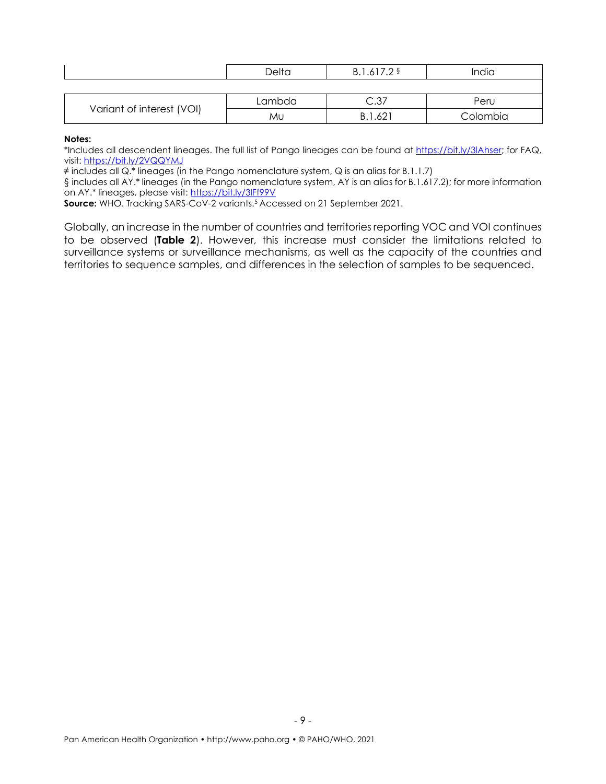|  |                           | Delta  | B.1.617.2 §  | India    |
|--|---------------------------|--------|--------------|----------|
|  |                           |        |              |          |
|  |                           | Lambda | ⌒ ?⁊<br>،ں ب | Peru     |
|  | Variant of interest (VOI) | MU     | B.1.62       | Colombia |

**Notes:**

\*Includes all descendent lineages. The full list of Pango lineages can be found at [https://bit.ly/3lAhser;](https://bit.ly/3lAhser) for FAQ, visit: <https://bit.ly/2VQQYMJ>

≠ includes all Q.\* lineages (in the Pango nomenclature system, Q is an alias for B.1.1.7)

§ includes all AY.\* lineages (in the Pango nomenclature system, AY is an alias for B.1.617.2); for more information on AY.\* lineages, please visit:<https://bit.ly/3lFf99V>

**Source:** WHO. Tracking SARS-CoV-2 variants. <sup>5</sup> Accessed on 21 September 2021.

Globally, an increase in the number of countries and territories reporting VOC and VOI continues to be observed (**Table 2**). However, this increase must consider the limitations related to surveillance systems or surveillance mechanisms, as well as the capacity of the countries and territories to sequence samples, and differences in the selection of samples to be sequenced.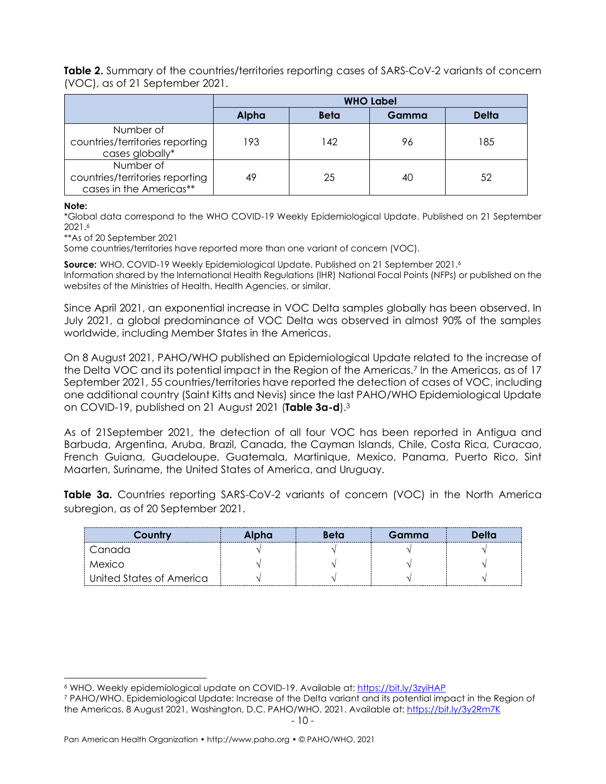**Table 2.** Summary of the countries/territories reporting cases of SARS-CoV-2 variants of concern (VOC), as of 21 September 2021.

|                                                                         | <b>WHO Label</b> |             |       |              |
|-------------------------------------------------------------------------|------------------|-------------|-------|--------------|
|                                                                         | Alpha            | <b>Beta</b> | Gamma | <b>Delta</b> |
| Number of<br>countries/territories reporting<br>cases globally*         | 193              | 142         | 96    | 185          |
| Number of<br>countries/territories reporting<br>cases in the Americas** | 49               | 25          | 40    | 52           |

**Note:**

\*Global data correspond to the WHO COVID-19 Weekly Epidemiological Update. Published on 21 September 2021. 6

\*\*As of 20 September 2021

Some countries/territories have reported more than one variant of concern (VOC).

**Source:** WHO. COVID-19 Weekly Epidemiological Update. Published on 21 September 2021. 6

Information shared by the International Health Regulations (IHR) National Focal Points (NFPs) or published on the websites of the Ministries of Health, Health Agencies, or similar.

Since April 2021, an exponential increase in VOC Delta samples globally has been observed. In July 2021, a global predominance of VOC Delta was observed in almost 90% of the samples worldwide, including Member States in the Americas.

On 8 August 2021, PAHO/WHO published an Epidemiological Update related to the increase of the Delta VOC and its potential impact in the Region of the Americas.<sup>7</sup> In the Americas, as of 17 September 2021, 55 countries/territories have reported the detection of cases of VOC, including one additional country (Saint Kitts and Nevis) since the last PAHO/WHO Epidemiological Update on COVID-19, published on 21 August 2021 (**Table 3a-d**).<sup>3</sup>

As of 21September 2021, the detection of all four VOC has been reported in Antigua and Barbuda, Argentina, Aruba, Brazil, Canada, the Cayman Islands, Chile, Costa Rica, Curacao, French Guiana, Guadeloupe, Guatemala, Martinique, Mexico, Panama, Puerto Rico, Sint Maarten, Suriname, the United States of America, and Uruguay.

**Table 3a.** Countries reporting SARS-CoV-2 variants of concern (VOC) in the North America subregion, as of 20 September 2021.

| Country                  | Alpha | Beta | Gamma | Delta |
|--------------------------|-------|------|-------|-------|
| Canada                   |       |      |       |       |
| Mexico                   |       |      |       |       |
| United States of America |       |      |       |       |

<sup>6</sup> WHO. Weekly epidemiological update on COVID-19. Available at:<https://bit.ly/3zyiHAP>

<sup>7</sup> PAHO/WHO. Epidemiological Update: Increase of the Delta variant and its potential impact in the Region of the Americas. 8 August 2021, Washington, D.C. PAHO/WHO. 2021. Available at:<https://bit.ly/3y2Rm7K>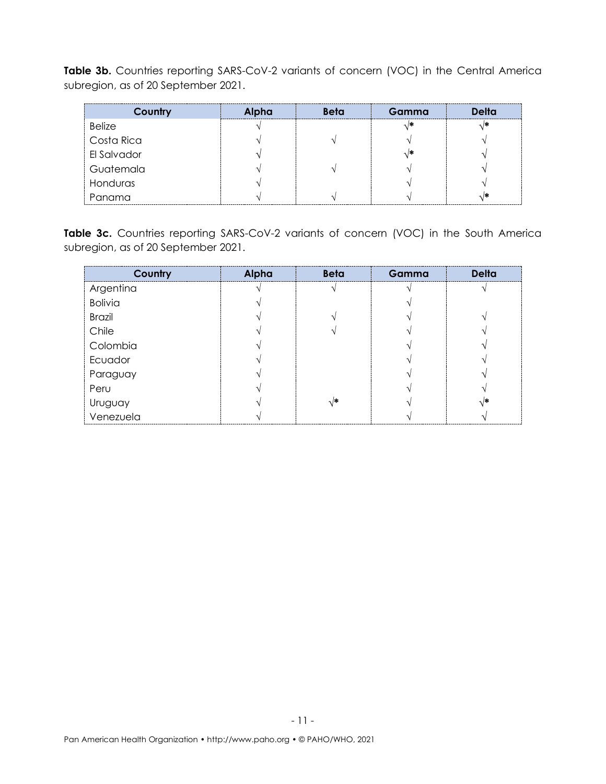Table 3b. Countries reporting SARS-CoV-2 variants of concern (VOC) in the Central America subregion, as of 20 September 2021.

| Country       | Alpha | <b>Beta</b> | Gamma | Delta |
|---------------|-------|-------------|-------|-------|
| <b>Belize</b> |       |             |       |       |
| Costa Rica    |       |             |       |       |
| El Salvador   |       |             |       |       |
| Guatemala     |       |             |       |       |
| Honduras      |       |             |       |       |
| Panama        |       |             |       |       |

Table 3c. Countries reporting SARS-CoV-2 variants of concern (VOC) in the South America subregion, as of 20 September 2021.

| Country              | Alpha | <b>Beta</b> | Gamma | <b>Delta</b> |
|----------------------|-------|-------------|-------|--------------|
| Argentina            |       |             |       |              |
| <b>Bolivia</b>       |       |             |       |              |
| <b>Brazil</b>        |       |             |       |              |
| Chile                |       |             |       |              |
| Colombia             |       |             |       |              |
| Ecuador              |       |             |       |              |
| Paraguay             |       |             |       |              |
| Peru                 |       |             |       |              |
|                      |       | √*          |       |              |
| Uruguay<br>Venezuela |       |             |       |              |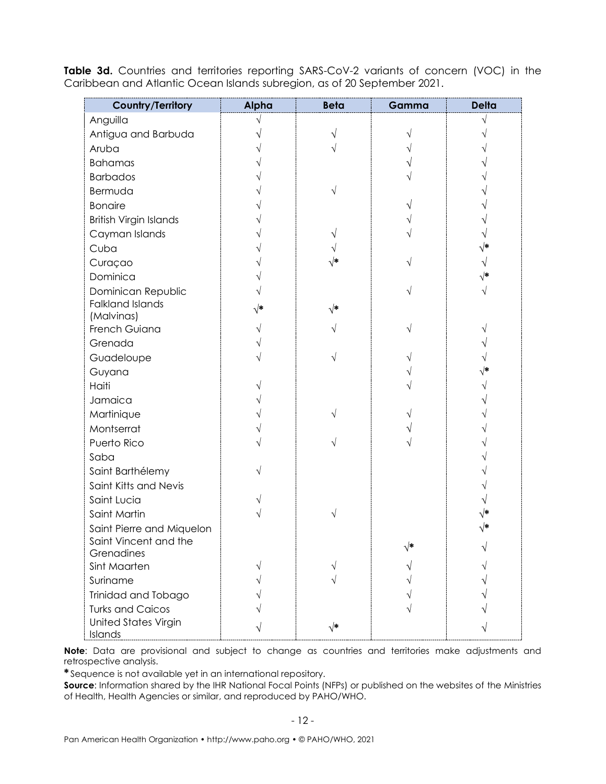| <b>Country/Territory</b>               | Alpha | <b>Beta</b>   | Gamma      | <b>Delta</b> |
|----------------------------------------|-------|---------------|------------|--------------|
| Anguilla                               |       |               |            |              |
| Antigua and Barbuda                    |       |               |            |              |
| Aruba                                  |       |               |            |              |
| <b>Bahamas</b>                         |       |               |            |              |
| <b>Barbados</b>                        |       |               |            |              |
| Bermuda                                |       |               |            |              |
| <b>Bonaire</b>                         |       |               |            |              |
| <b>British Virgin Islands</b>          |       |               |            |              |
| Cayman Islands                         |       |               |            |              |
| Cuba                                   |       |               |            |              |
| Curaçao                                |       | $\sqrt{\ast}$ |            |              |
| Dominica                               |       |               |            |              |
| Dominican Republic                     |       |               |            |              |
| <b>Falkland Islands</b><br>(Malvinas)  | √*    | $\sqrt{*}$    |            |              |
| French Guiana                          |       |               |            |              |
| Grenada                                |       |               |            |              |
| Guadeloupe                             |       |               |            |              |
| Guyana                                 |       |               |            |              |
| Haiti                                  |       |               |            |              |
| Jamaica                                |       |               |            |              |
| Martinique                             |       |               |            |              |
| Montserrat                             |       |               |            |              |
| Puerto Rico                            |       |               |            |              |
| Saba                                   |       |               |            |              |
| Saint Barthélemy                       |       |               |            |              |
| Saint Kitts and Nevis                  |       |               |            |              |
| Saint Lucia                            |       |               |            |              |
| Saint Martin                           |       |               |            |              |
| Saint Pierre and Miquelon              |       |               |            |              |
| Saint Vincent and the                  |       |               | $\sqrt{*}$ |              |
| Grenadines                             |       |               |            |              |
| Sint Maarten                           |       |               |            |              |
| Suriname                               |       |               |            |              |
| Trinidad and Tobago                    |       |               |            |              |
| <b>Turks and Caicos</b>                |       |               |            |              |
| <b>United States Virgin</b><br>Islands |       | $\sqrt{*}$    |            |              |

Table 3d. Countries and territories reporting SARS-CoV-2 variants of concern (VOC) in the Caribbean and Atlantic Ocean Islands subregion, as of 20 September 2021.

**Note**: Data are provisional and subject to change as countries and territories make adjustments and retrospective analysis.

**\*** Sequence is not available yet in an international repository.

**Source**: Information shared by the IHR National Focal Points (NFPs) or published on the websites of the Ministries of Health, Health Agencies or similar, and reproduced by PAHO/WHO.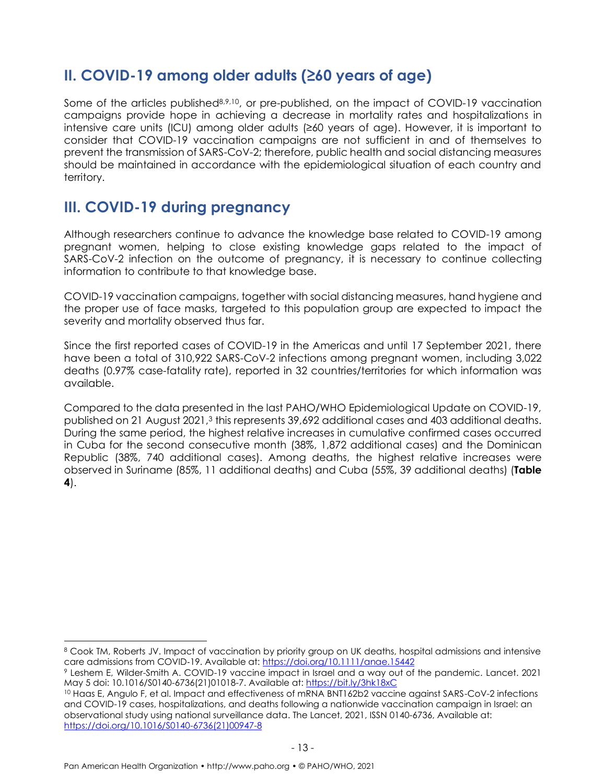#### <span id="page-12-0"></span>**II. COVID-19 among older adults (≥60 years of age)**

Some of the articles published<sup>8,9,10</sup>, or pre-published, on the impact of COVID-19 vaccination campaigns provide hope in achieving a decrease in mortality rates and hospitalizations in intensive care units (ICU) among older adults (≥60 years of age). However, it is important to consider that COVID-19 vaccination campaigns are not sufficient in and of themselves to prevent the transmission of SARS-CoV-2; therefore, public health and social distancing measures should be maintained in accordance with the epidemiological situation of each country and territory.

#### <span id="page-12-1"></span>**III. COVID-19 during pregnancy**

Although researchers continue to advance the knowledge base related to COVID-19 among pregnant women, helping to close existing knowledge gaps related to the impact of SARS-CoV-2 infection on the outcome of pregnancy, it is necessary to continue collecting information to contribute to that knowledge base.

COVID-19 vaccination campaigns, together with social distancing measures, hand hygiene and the proper use of face masks, targeted to this population group are expected to impact the severity and mortality observed thus far.

Since the first reported cases of COVID-19 in the Americas and until 17 September 2021, there have been a total of 310,922 SARS-CoV-2 infections among pregnant women, including 3,022 deaths (0.97% case-fatality rate), reported in 32 countries/territories for which information was available.

Compared to the data presented in the last PAHO/WHO Epidemiological Update on COVID-19, published on 21 August 2021, <sup>3</sup> this represents 39,692 additional cases and 403 additional deaths. During the same period, the highest relative increases in cumulative confirmed cases occurred in Cuba for the second consecutive month (38%, 1,872 additional cases) and the Dominican Republic (38%, 740 additional cases). Among deaths, the highest relative increases were observed in Suriname (85%, 11 additional deaths) and Cuba (55%, 39 additional deaths) (**Table 4**).

<sup>8</sup> Cook TM, Roberts JV. Impact of vaccination by priority group on UK deaths, hospital admissions and intensive care admissions from COVID-19. Available at: <https://doi.org/10.1111/anae.15442>

<sup>9</sup> Leshem E, Wilder-Smith A. COVID-19 vaccine impact in Israel and a way out of the pandemic. Lancet. 2021 May 5 doi: 10.1016/S0140-6736(21)01018-7. Available at: <https://bit.ly/3hk18xC>

<sup>10</sup> Haas E, Angulo F, et al. Impact and effectiveness of mRNA BNT162b2 vaccine against SARS-CoV-2 infections and COVID-19 cases, hospitalizations, and deaths following a nationwide vaccination campaign in Israel: an observational study using national surveillance data. The Lancet, 2021, ISSN 0140-6736, Available at: [https://doi.org/10.1016/S0140-6736\(21\)00947-8](https://doi.org/10.1016/S0140-6736(21)00947-8)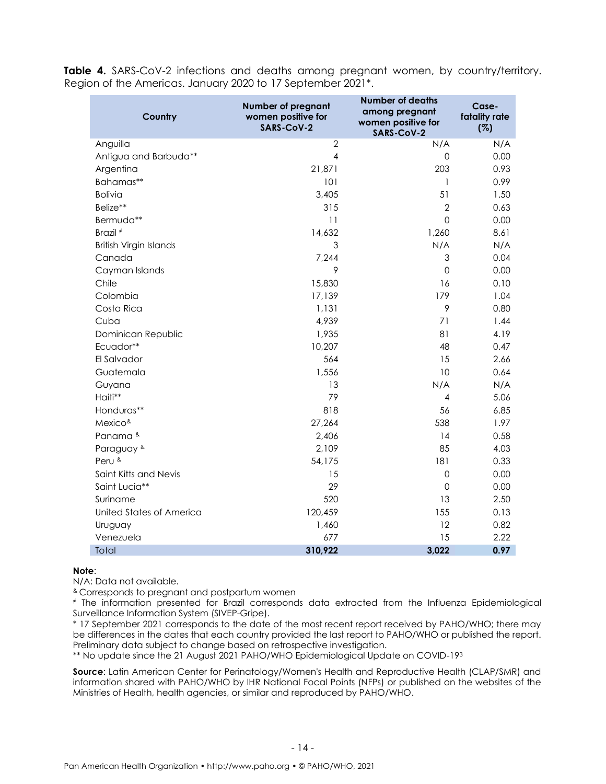**Table 4.** SARS-CoV-2 infections and deaths among pregnant women, by country/territory. Region of the Americas. January 2020 to 17 September 2021\*.

| Country                       | Number of pregnant<br>women positive for<br>SARS-CoV-2 | <b>Number of deaths</b><br>among pregnant<br>women positive for<br>SARS-CoV-2 | Case-<br>fatality rate<br>(%) |
|-------------------------------|--------------------------------------------------------|-------------------------------------------------------------------------------|-------------------------------|
| Anguilla                      | $\overline{2}$                                         | N/A                                                                           | N/A                           |
| Antigua and Barbuda**         | $\overline{4}$                                         | 0                                                                             | 0.00                          |
| Argentina                     | 21,871                                                 | 203                                                                           | 0.93                          |
| Bahamas**                     | 101                                                    | $\mathbf{1}$                                                                  | 0.99                          |
| <b>Bolivia</b>                | 3,405                                                  | 51                                                                            | 1.50                          |
| Belize**                      | 315                                                    | $\overline{2}$                                                                | 0.63                          |
| Bermuda**                     | 11                                                     | 0                                                                             | 0.00                          |
| Brazil <sup>#</sup>           | 14,632                                                 | 1,260                                                                         | 8.61                          |
| <b>British Virgin Islands</b> | 3                                                      | N/A                                                                           | N/A                           |
| Canada                        | 7,244                                                  | 3                                                                             | 0.04                          |
| Cayman Islands                | 9                                                      | 0                                                                             | 0.00                          |
| Chile                         | 15,830                                                 | 16                                                                            | 0.10                          |
| Colombia                      | 17,139                                                 | 179                                                                           | 1.04                          |
| Costa Rica                    | 1,131                                                  | 9                                                                             | 0.80                          |
| Cuba                          | 4,939                                                  | 71                                                                            | 1.44                          |
| Dominican Republic            | 1,935                                                  | 81                                                                            | 4.19                          |
| Ecuador**                     | 10,207                                                 | 48                                                                            | 0.47                          |
| El Salvador                   | 564                                                    | 15                                                                            | 2.66                          |
| Guatemala                     | 1,556                                                  | 10                                                                            | 0.64                          |
| Guyana                        | 13                                                     | N/A                                                                           | N/A                           |
| Haiti**                       | 79                                                     | 4                                                                             | 5.06                          |
| Honduras**                    | 818                                                    | 56                                                                            | 6.85                          |
| Mexico <sup>&amp;</sup>       | 27,264                                                 | 538                                                                           | 1.97                          |
| Panama &                      | 2,406                                                  | 14                                                                            | 0.58                          |
| Paraguay &                    | 2,109                                                  | 85                                                                            | 4.03                          |
| Peru &                        | 54,175                                                 | 181                                                                           | 0.33                          |
| Saint Kitts and Nevis         | 15                                                     | $\mathbf 0$                                                                   | 0.00                          |
| Saint Lucia**                 | 29                                                     | 0                                                                             | 0.00                          |
| Suriname                      | 520                                                    | 13                                                                            | 2.50                          |
| United States of America      | 120,459                                                | 155                                                                           | 0.13                          |
| Uruguay                       | 1,460                                                  | 12                                                                            | 0.82                          |
| Venezuela                     | 677                                                    | 15                                                                            | 2.22                          |
| Total                         | 310,922                                                | 3,022                                                                         | 0.97                          |

#### **Note**:

N/A: Data not available.

& Corresponds to pregnant and postpartum women

<sup>≠</sup> The information presented for Brazil corresponds data extracted from the Influenza Epidemiological Surveillance Information System (SIVEP-Gripe).

\* 17 September 2021 corresponds to the date of the most recent report received by PAHO/WHO; there may be differences in the dates that each country provided the last report to PAHO/WHO or published the report. Preliminary data subject to change based on retrospective investigation.

\*\* No update since the 21 August 2021 PAHO/WHO Epidemiological Update on COVID-19<sup>3</sup>

**Source**: Latin American Center for Perinatology/Women's Health and Reproductive Health (CLAP/SMR) and information shared with PAHO/WHO by IHR National Focal Points (NFPs) or published on the websites of the Ministries of Health, health agencies, or similar and reproduced by PAHO/WHO.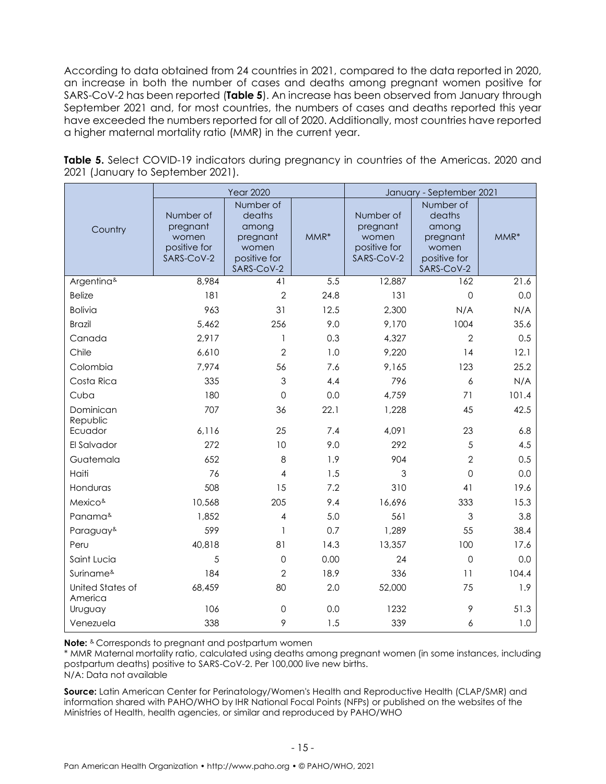According to data obtained from 24 countries in 2021, compared to the data reported in 2020, an increase in both the number of cases and deaths among pregnant women positive for SARS-CoV-2 has been reported (**Table 5**). An increase has been observed from January through September 2021 and, for most countries, the numbers of cases and deaths reported this year have exceeded the numbers reported for all of 2020. Additionally, most countries have reported a higher maternal mortality ratio (MMR) in the current year.

|                             | <b>Year 2020</b>                                             |                                                                                 |      | January - September 2021                                     |                                                                                 |        |  |
|-----------------------------|--------------------------------------------------------------|---------------------------------------------------------------------------------|------|--------------------------------------------------------------|---------------------------------------------------------------------------------|--------|--|
| Country                     | Number of<br>pregnant<br>women<br>positive for<br>SARS-CoV-2 | Number of<br>deaths<br>among<br>pregnant<br>women<br>positive for<br>SARS-CoV-2 | MMR* | Number of<br>pregnant<br>women<br>positive for<br>SARS-CoV-2 | Number of<br>deaths<br>among<br>pregnant<br>women<br>positive for<br>SARS-CoV-2 | $MMR*$ |  |
| Argentina&                  | 8,984                                                        | 41                                                                              | 5.5  | 12,887                                                       | 162                                                                             | 21.6   |  |
| <b>Belize</b>               | 181                                                          | $\overline{2}$                                                                  | 24.8 | 131                                                          | $\overline{O}$                                                                  | 0.0    |  |
| <b>Bolivia</b>              | 963                                                          | 31                                                                              | 12.5 | 2,300                                                        | N/A                                                                             | N/A    |  |
| <b>Brazil</b>               | 5,462                                                        | 256                                                                             | 9.0  | 9,170                                                        | 1004                                                                            | 35.6   |  |
| Canada                      | 2,917                                                        | 1                                                                               | 0.3  | 4,327                                                        | $\overline{2}$                                                                  | 0.5    |  |
| Chile                       | 6,610                                                        | $\overline{2}$                                                                  | 1.0  | 9,220                                                        | 14                                                                              | 12.1   |  |
| Colombia                    | 7,974                                                        | 56                                                                              | 7.6  | 9,165                                                        | 123                                                                             | 25.2   |  |
| Costa Rica                  | 335                                                          | 3                                                                               | 4.4  | 796                                                          | 6                                                                               | N/A    |  |
| Cuba                        | 180                                                          | $\mathbf 0$                                                                     | 0.0  | 4,759                                                        | 71                                                                              | 101.4  |  |
| Dominican<br>Republic       | 707                                                          | 36                                                                              | 22.1 | 1,228                                                        | 45                                                                              | 42.5   |  |
| Ecuador                     | 6,116                                                        | 25                                                                              | 7.4  | 4,091                                                        | 23                                                                              | 6.8    |  |
| El Salvador                 | 272                                                          | 10                                                                              | 9.0  | 292                                                          | 5                                                                               | 4.5    |  |
| Guatemala                   | 652                                                          | 8                                                                               | 1.9  | 904                                                          | $\overline{2}$                                                                  | 0.5    |  |
| Haiti                       | 76                                                           | 4                                                                               | 1.5  | 3                                                            | $\mathbf 0$                                                                     | 0.0    |  |
| Honduras                    | 508                                                          | 15                                                                              | 7.2  | 310                                                          | 41                                                                              | 19.6   |  |
| Mexico <sup>&amp;</sup>     | 10,568                                                       | 205                                                                             | 9.4  | 16,696                                                       | 333                                                                             | 15.3   |  |
| Panama <sup>&amp;</sup>     | 1,852                                                        | 4                                                                               | 5.0  | 561                                                          | $\mathfrak{S}$                                                                  | 3.8    |  |
| Paraguay <sup>&amp;</sup>   | 599                                                          | 1                                                                               | 0.7  | 1,289                                                        | 55                                                                              | 38.4   |  |
| Peru                        | 40,818                                                       | 81                                                                              | 14.3 | 13,357                                                       | 100                                                                             | 17.6   |  |
| Saint Lucia                 | 5                                                            | $\mathbf 0$                                                                     | 0.00 | 24                                                           | $\mathbf 0$                                                                     | 0.0    |  |
| Suriname <sup>&amp;</sup>   | 184                                                          | $\overline{2}$                                                                  | 18.9 | 336                                                          | 11                                                                              | 104.4  |  |
| United States of<br>America | 68,459                                                       | 80                                                                              | 2.0  | 52,000                                                       | 75                                                                              | 1.9    |  |
| Uruguay                     | 106                                                          | $\mathsf{O}\xspace$                                                             | 0.0  | 1232                                                         | 9                                                                               | 51.3   |  |
| Venezuela                   | 338                                                          | 9                                                                               | 1.5  | 339                                                          | 6                                                                               | 1.0    |  |

**Table 5.** Select COVID-19 indicators during pregnancy in countries of the Americas. 2020 and 2021 (January to September 2021).

**Note:** & Corresponds to pregnant and postpartum women

\* MMR Maternal mortality ratio, calculated using deaths among pregnant women (in some instances, including postpartum deaths) positive to SARS-CoV-2. Per 100,000 live new births.

N/A: Data not available

**Source:** Latin American Center for Perinatology/Women's Health and Reproductive Health (CLAP/SMR) and information shared with PAHO/WHO by IHR National Focal Points (NFPs) or published on the websites of the Ministries of Health, health agencies, or similar and reproduced by PAHO/WHO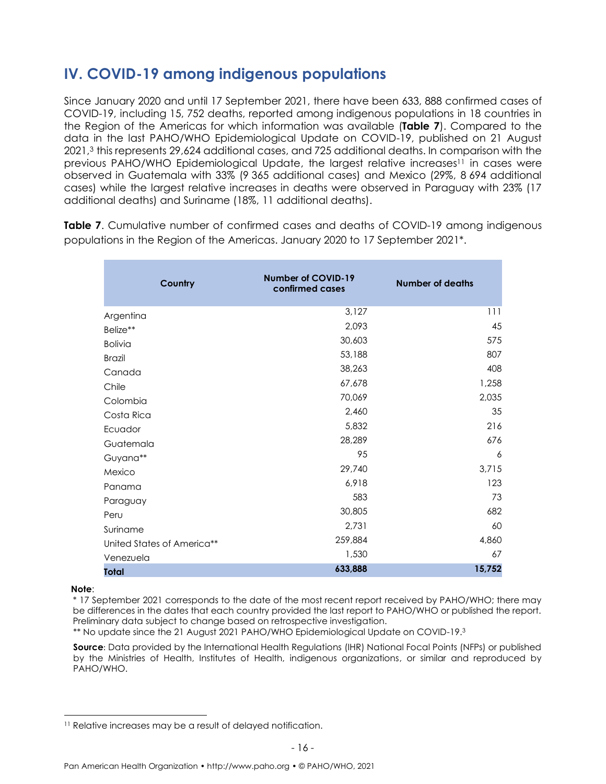### <span id="page-15-0"></span>**IV. COVID-19 among indigenous populations**

Since January 2020 and until 17 September 2021, there have been 633, 888 confirmed cases of COVID-19, including 15, 752 deaths, reported among indigenous populations in 18 countries in the Region of the Americas for which information was available (**Table 7**). Compared to the data in the last PAHO/WHO Epidemiological Update on COVID-19, published on 21 August 2021, <sup>3</sup> this represents 29,624 additional cases, and 725 additional deaths. In comparison with the previous PAHO/WHO Epidemiological Update, the largest relative increases <sup>11</sup> in cases were observed in Guatemala with 33% (9 365 additional cases) and Mexico (29%, 8 694 additional cases) while the largest relative increases in deaths were observed in Paraguay with 23% (17 additional deaths) and Suriname (18%, 11 additional deaths).

**Country Number of COVID-19 confirmed cases Number of deaths** Argentina 3,127 111 Belize\*\*  $2,093$   $45$ Bolivia 30,603 575 Brazil 807 Canada 38,263 408 Chile 67,678 1,258 Colombia 70,069 2,035 Costa Rica 2,460 35 Ecuador 5,832 216 Guatemala 28,289 676 Guyana\*\* 95 6 Mexico 29,740 3,715 Panama 123 Paraguay 583 73 Peru 682 Suriname 60 United States of America\*\* 259,884 259,884 Venezuela 1,530 67 **Total 633,888 15,752**

**Table 7.** Cumulative number of confirmed cases and deaths of COVID-19 among indigenous populations in the Region of the Americas. January 2020 to 17 September 2021\*.

#### **Note**:

\* 17 September 2021 corresponds to the date of the most recent report received by PAHO/WHO; there may be differences in the dates that each country provided the last report to PAHO/WHO or published the report. Preliminary data subject to change based on retrospective investigation.

\*\* No update since the 21 August 2021 PAHO/WHO Epidemiological Update on COVID-19. 3

**Source**: Data provided by the International Health Regulations (IHR) National Focal Points (NFPs) or published by the Ministries of Health, Institutes of Health, indigenous organizations, or similar and reproduced by PAHO/WHO.

<sup>&</sup>lt;sup>11</sup> Relative increases may be a result of delayed notification.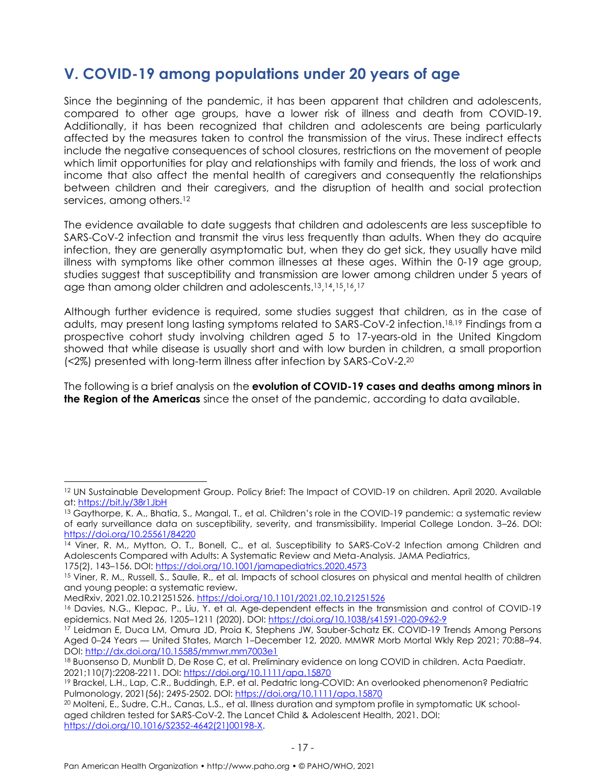#### <span id="page-16-0"></span>**V. COVID-19 among populations under 20 years of age**

Since the beginning of the pandemic, it has been apparent that children and adolescents, compared to other age groups, have a lower risk of illness and death from COVID-19. Additionally, it has been recognized that children and adolescents are being particularly affected by the measures taken to control the transmission of the virus. These indirect effects include the negative consequences of school closures, restrictions on the movement of people which limit opportunities for play and relationships with family and friends, the loss of work and income that also affect the mental health of caregivers and consequently the relationships between children and their caregivers, and the disruption of health and social protection services, among others.<sup>12</sup>

The evidence available to date suggests that children and adolescents are less susceptible to SARS-CoV-2 infection and transmit the virus less frequently than adults. When they do acquire infection, they are generally asymptomatic but, when they do get sick, they usually have mild illness with symptoms like other common illnesses at these ages. Within the 0-19 age group, studies suggest that susceptibility and transmission are lower among children under 5 years of age than among older children and adolescents.<sup>13,14,15,16,17</sup>

Although further evidence is required, some studies suggest that children, as in the case of adults, may present long lasting symptoms related to SARS-CoV-2 infection.18,19 Findings from a prospective cohort study involving children aged 5 to 17-years-old in the United Kingdom showed that while disease is usually short and with low burden in children, a small proportion (<2%) presented with long-term illness after infection by SARS-CoV-2.<sup>20</sup>

The following is a brief analysis on the **evolution of COVID-19 cases and deaths among minors in the Region of the Americas** since the onset of the pandemic, according to data available.

175(2), 143-156. DOI:<https://doi.org/10.1001/jamapediatrics.2020.4573>

<sup>12</sup> UN Sustainable Development Group. Policy Brief: The Impact of COVID-19 on children. April 2020. Available at:<https://bit.ly/38r1JbH>

<sup>&</sup>lt;sup>13</sup> Gaythorpe, K. A., Bhatia, S., Mangal, T., et al. Children's role in the COVID-19 pandemic: a systematic review of early surveillance data on susceptibility, severity, and transmissibility. Imperial College London. 3–26. DOI: <https://doi.org/10.25561/84220>

<sup>14</sup> Viner, R. M., Mytton, O. T., Bonell, C., et al. Susceptibility to SARS-CoV-2 Infection among Children and Adolescents Compared with Adults: A Systematic Review and Meta-Analysis. JAMA Pediatrics,

<sup>&</sup>lt;sup>15</sup> Viner, R. M., Russell, S., Saulle, R., et al. Impacts of school closures on physical and mental health of children and young people: a systematic review.

MedRxiv, 2021.02.10.21251526.<https://doi.org/10.1101/2021.02.10.21251526>

<sup>&</sup>lt;sup>16</sup> Davies, N.G., Klepac, P., Liu, Y. et al. Age-dependent effects in the transmission and control of COVID-19 epidemics. Nat Med 26, 1205–1211 (2020). DOI:<https://doi.org/10.1038/s41591-020-0962-9>

<sup>17</sup> Leidman E, Duca LM, Omura JD, Proia K, Stephens JW, Sauber-Schatz EK. COVID-19 Trends Among Persons Aged 0–24 Years — United States, March 1–December 12, 2020. MMWR Morb Mortal Wkly Rep 2021; 70:88–94. DOI:<http://dx.doi.org/10.15585/mmwr.mm7003e1>

<sup>18</sup> Buonsenso D, Munblit D, De Rose C, et al. Preliminary evidence on long COVID in children. Acta Paediatr. 2021;110(7):2208-2211. DOI: <https://doi.org/10.1111/apa.15870>

<sup>19</sup> Brackel, L.H., Lap, C.R., Buddingh, E.P. et al. Pedatric long-COVID: An overlooked phenomenon? Pediatric Pulmonology, 2021(56); 2495-2502. DOI[: https://doi.org/10.1111/apa.15870](https://doi.org/10.1111/apa.15870)

<sup>20</sup> Molteni, E., Sudre, C.H., Canas, L.S., et al. Illness duration and symptom profile in symptomatic UK schoolaged children tested for SARS-CoV-2. The Lancet Child & Adolescent Health, 2021. DOI: [https://doi.org/10.1016/S2352-4642\(21\)00198-X.](https://doi.org/10.1016/S2352-4642(21)00198-X)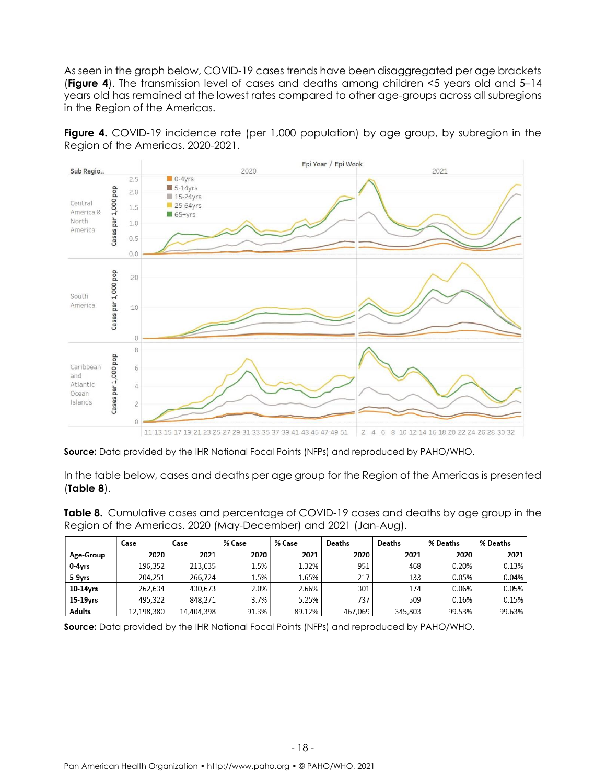As seen in the graph below, COVID-19 cases trends have been disaggregated per age brackets (**Figure 4**). The transmission level of cases and deaths among children <5 years old and 5–14 years old has remained at the lowest rates compared to other age-groups across all subregions in the Region of the Americas.

**Figure 4.** COVID-19 incidence rate (per 1,000 population) by age group, by subregion in the Region of the Americas. 2020-2021.



**Source:** Data provided by the IHR National Focal Points (NFPs) and reproduced by PAHO/WHO.

In the table below, cases and deaths per age group for the Region of the Americas is presented (**Table 8**).

**Table 8.** Cumulative cases and percentage of COVID-19 cases and deaths by age group in the Region of the Americas. 2020 (May-December) and 2021 (Jan-Aug).

|                      | Case       | Case       | % Case | % Case | Deaths  | Deaths  | % Deaths | % Deaths |
|----------------------|------------|------------|--------|--------|---------|---------|----------|----------|
| Age-Group            | 2020       | 2021       | 2020   | 2021   | 2020    | 2021    | 2020     | 2021     |
| 0-4yrs               | 196,352    | 213,635    | 1.5%   | 1.32%  | 951     | 468     | 0.20%    | 0.13%    |
| 5-9yrs               | 204.251    | 266.724    | 1.5%   | 1.65%  | 217     | 133     | 0.05%    | 0.04%    |
| 10-14yrs             | 262.634    | 430.673    | 2.0%   | 2.66%  | 301     | 174     | 0.06%    | 0.05%    |
| 15-19 <sub>vrs</sub> | 495.322    | 848.271    | 3.7%   | 5.25%  | 737     | 509     | 0.16%    | 0.15%    |
| Adults               | 12,198,380 | 14,404,398 | 91.3%  | 89.12% | 467,069 | 345,803 | 99.53%   | 99.63%   |

**Source:** Data provided by the IHR National Focal Points (NFPs) and reproduced by PAHO/WHO.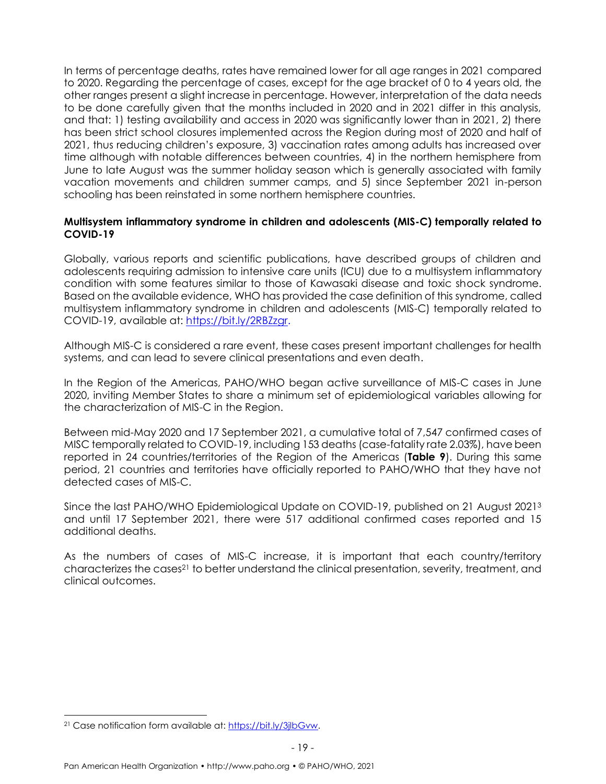In terms of percentage deaths, rates have remained lower for all age ranges in 2021 compared to 2020. Regarding the percentage of cases, except for the age bracket of 0 to 4 years old, the other ranges present a slight increase in percentage. However, interpretation of the data needs to be done carefully given that the months included in 2020 and in 2021 differ in this analysis, and that: 1) testing availability and access in 2020 was significantly lower than in 2021, 2) there has been strict school closures implemented across the Region during most of 2020 and half of 2021, thus reducing children's exposure, 3) vaccination rates among adults has increased over time although with notable differences between countries, 4) in the northern hemisphere from June to late August was the summer holiday season which is generally associated with family vacation movements and children summer camps, and 5) since September 2021 in-person schooling has been reinstated in some northern hemisphere countries.

#### <span id="page-18-0"></span>**Multisystem inflammatory syndrome in children and adolescents (MIS-C) temporally related to COVID-19**

Globally, various reports and scientific publications, have described groups of children and adolescents requiring admission to intensive care units (ICU) due to a multisystem inflammatory condition with some features similar to those of Kawasaki disease and toxic shock syndrome. Based on the available evidence, WHO has provided the case definition of this syndrome, called multisystem inflammatory syndrome in children and adolescents (MIS-C) temporally related to COVID-19, available at: [https://bit.ly/2RBZzgr.](https://bit.ly/2RBZzgr)

Although MIS-C is considered a rare event, these cases present important challenges for health systems, and can lead to severe clinical presentations and even death.

In the Region of the Americas, PAHO/WHO began active surveillance of MIS-C cases in June 2020, inviting Member States to share a minimum set of epidemiological variables allowing for the characterization of MIS-C in the Region.

Between mid-May 2020 and 17 September 2021, a cumulative total of 7,547 confirmed cases of MISC temporally related to COVID-19, including 153 deaths (case-fatality rate 2.03%), have been reported in 24 countries/territories of the Region of the Americas (**Table 9**). During this same period, 21 countries and territories have officially reported to PAHO/WHO that they have not detected cases of MIS-C.

Since the last PAHO/WHO Epidemiological Update on COVID-19, published on 21 August 2021<sup>3</sup> and until 17 September 2021, there were 517 additional confirmed cases reported and 15 additional deaths.

As the numbers of cases of MIS-C increase, it is important that each country/territory characterizes the cases<sup>21</sup> to better understand the clinical presentation, severity, treatment, and clinical outcomes.

<sup>21</sup> Case notification form available at[: https://bit.ly/3jlbGvw.](https://bit.ly/3jlbGvw)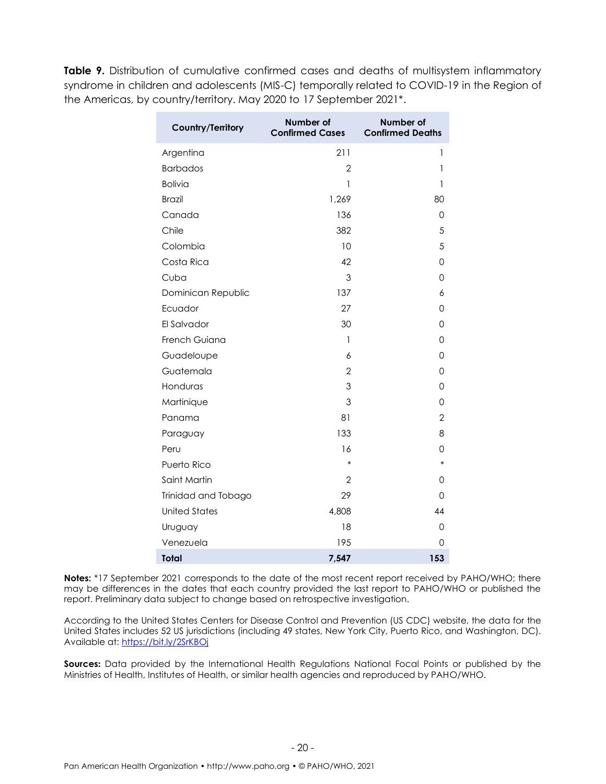**Table 9.** Distribution of cumulative confirmed cases and deaths of multisystem inflammatory syndrome in children and adolescents (MIS-C) temporally related to COVID-19 in the Region of the Americas, by country/territory. May 2020 to 17 September 2021\*.

| Country/Territory    | Number of<br><b>Confirmed Cases</b> | Number of<br><b>Confirmed Deaths</b> |
|----------------------|-------------------------------------|--------------------------------------|
| Argentina            | 211                                 | 1                                    |
| <b>Barbados</b>      | $\overline{2}$                      | 1                                    |
| <b>Bolivia</b>       | 1                                   | 1                                    |
| <b>Brazil</b>        | 1,269                               | 80                                   |
| Canada               | 136                                 | 0                                    |
| Chile                | 382                                 | 5                                    |
| Colombia             | 10                                  | 5                                    |
| Costa Rica           | 42                                  | 0                                    |
| Cuba                 | 3                                   | 0                                    |
| Dominican Republic   | 137                                 | 6                                    |
| Ecuador              | 27                                  | 0                                    |
| El Salvador          | 30                                  | 0                                    |
| French Guiana        | 1                                   | 0                                    |
| Guadeloupe           | 6                                   | 0                                    |
| Guatemala            | $\overline{2}$                      | 0                                    |
| Honduras             | 3                                   | 0                                    |
| Martinique           | 3                                   | 0                                    |
| Panama               | 81                                  | $\overline{2}$                       |
| Paraguay             | 133                                 | 8                                    |
| Peru                 | 16                                  | 0                                    |
| Puerto Rico          | $\ast$                              | $\ast$                               |
| Saint Martin         | $\overline{2}$                      | 0                                    |
| Trinidad and Tobago  | 29                                  | 0                                    |
| <b>United States</b> | 4,808                               | 44                                   |
| Uruguay              | 18                                  | 0                                    |
| Venezuela            | 195                                 | 0                                    |
| <b>Total</b>         | 7,547                               | 153                                  |

Notes: \*17 September 2021 corresponds to the date of the most recent report received by PAHO/WHO; there may be differences in the dates that each country provided the last report to PAHO/WHO or published the report. Preliminary data subject to change based on retrospective investigation.

According to the United States Centers for Disease Control and Prevention (US CDC) website, the data for the United States includes 52 US jurisdictions (including 49 states, New York City, Puerto Rico, and Washington, DC). Available at: <https://bit.ly/2SrKBOj>

**Sources:** Data provided by the International Health Regulations National Focal Points or published by the Ministries of Health, Institutes of Health, or similar health agencies and reproduced by PAHO/WHO.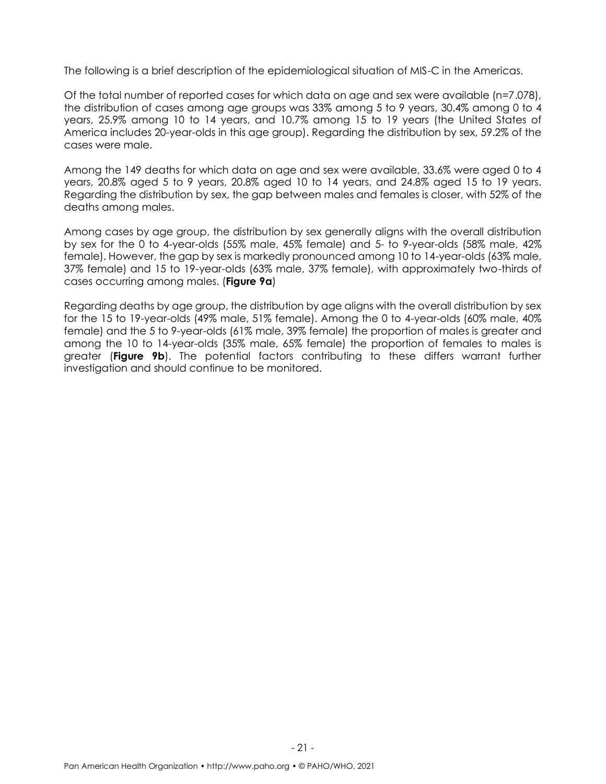The following is a brief description of the epidemiological situation of MIS-C in the Americas.

Of the total number of reported cases for which data on age and sex were available (n=7.078), the distribution of cases among age groups was 33% among 5 to 9 years, 30.4% among 0 to 4 years, 25.9% among 10 to 14 years, and 10.7% among 15 to 19 years (the United States of America includes 20-year-olds in this age group). Regarding the distribution by sex, 59.2% of the cases were male.

Among the 149 deaths for which data on age and sex were available, 33.6% were aged 0 to 4 years, 20.8% aged 5 to 9 years, 20.8% aged 10 to 14 years, and 24.8% aged 15 to 19 years. Regarding the distribution by sex, the gap between males and females is closer, with 52% of the deaths among males.

Among cases by age group, the distribution by sex generally aligns with the overall distribution by sex for the 0 to 4-year-olds (55% male, 45% female) and 5- to 9-year-olds (58% male, 42% female). However, the gap by sex is markedly pronounced among 10 to 14-year-olds (63% male, 37% female) and 15 to 19-year-olds (63% male, 37% female), with approximately two-thirds of cases occurring among males. (**Figure 9a**)

Regarding deaths by age group, the distribution by age aligns with the overall distribution by sex for the 15 to 19-year-olds (49% male, 51% female). Among the 0 to 4-year-olds (60% male, 40% female) and the 5 to 9-year-olds (61% male, 39% female) the proportion of males is greater and among the 10 to 14-year-olds (35% male, 65% female) the proportion of females to males is greater (**Figure 9b**). The potential factors contributing to these differs warrant further investigation and should continue to be monitored.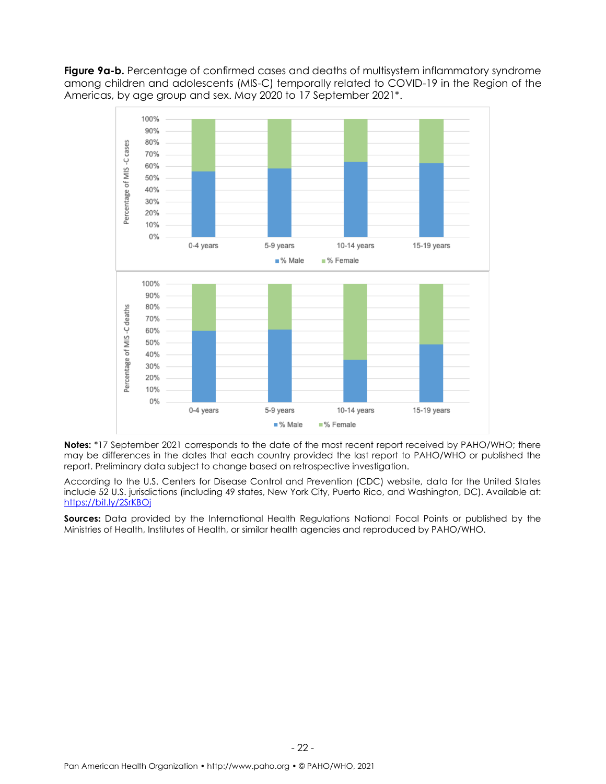Figure 9a-b. Percentage of confirmed cases and deaths of multisystem inflammatory syndrome among children and adolescents (MIS-C) temporally related to COVID-19 in the Region of the Americas, by age group and sex. May 2020 to 17 September 2021\*.



**Notes:** \*17 September 2021 corresponds to the date of the most recent report received by PAHO/WHO; there may be differences in the dates that each country provided the last report to PAHO/WHO or published the report. Preliminary data subject to change based on retrospective investigation.

According to the U.S. Centers for Disease Control and Prevention (CDC) website, data for the United States include 52 U.S. jurisdictions (including 49 states, New York City, Puerto Rico, and Washington, DC). Available at: <https://bit.ly/2SrKBOj>

**Sources:** Data provided by the International Health Regulations National Focal Points or published by the Ministries of Health, Institutes of Health, or similar health agencies and reproduced by PAHO/WHO.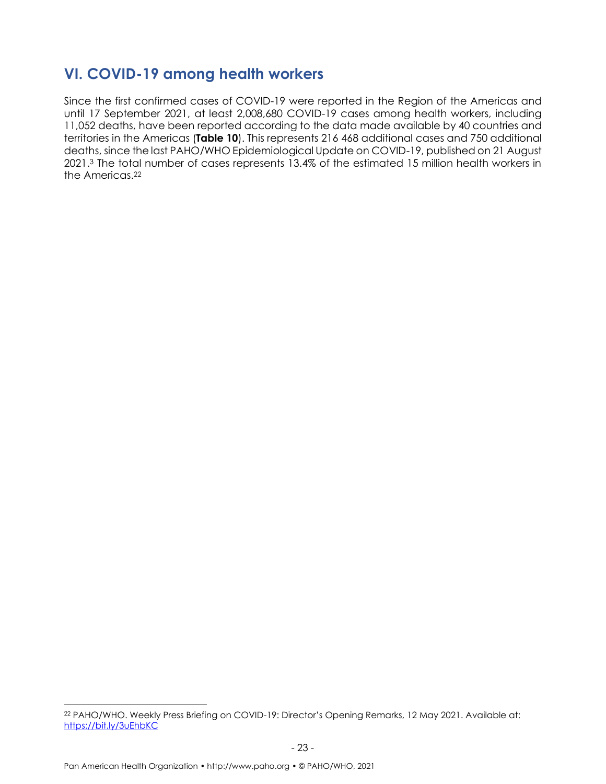#### <span id="page-22-0"></span>**VI. COVID-19 among health workers**

Since the first confirmed cases of COVID-19 were reported in the Region of the Americas and until 17 September 2021, at least 2,008,680 COVID-19 cases among health workers, including 11,052 deaths, have been reported according to the data made available by 40 countries and territories in the Americas (**Table 10**). This represents 216 468 additional cases and 750 additional deaths, since the last PAHO/WHO Epidemiological Update on COVID-19, published on 21 August 2021. <sup>3</sup> The total number of cases represents 13.4% of the estimated 15 million health workers in the Americas. 22

<sup>22</sup> PAHO/WHO. Weekly Press Briefing on COVID-19: Director's Opening Remarks, 12 May 2021. Available at: <https://bit.ly/3uEhbKC>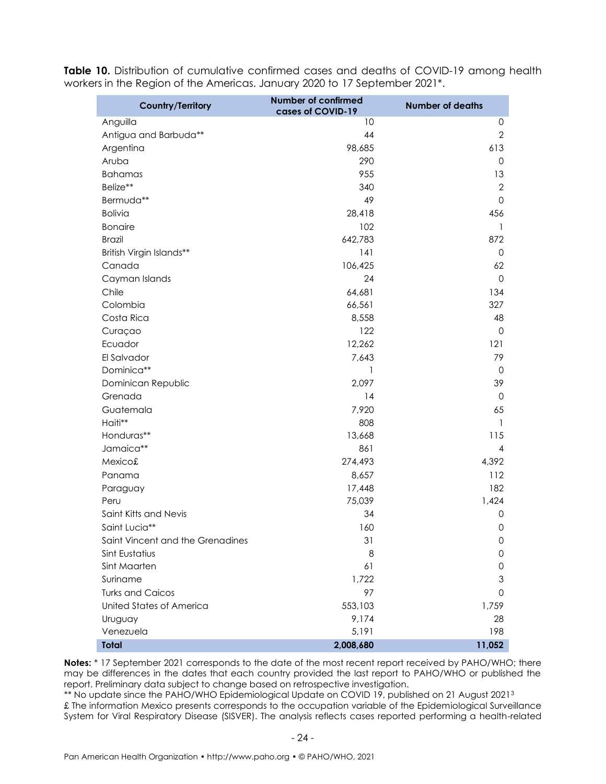|  | Table 10. Distribution of cumulative confirmed cases and deaths of COVID-19 among health |  |  |  |
|--|------------------------------------------------------------------------------------------|--|--|--|
|  | workers in the Region of the Americas. January 2020 to 17 September 2021*.               |  |  |  |

| <b>Country/Territory</b>         | <b>Number of confirmed</b><br>cases of COVID-19 | <b>Number of deaths</b> |
|----------------------------------|-------------------------------------------------|-------------------------|
| Anguilla                         | 10                                              | 0                       |
| Antigua and Barbuda**            | 44                                              | $\overline{2}$          |
| Argentina                        | 98,685                                          | 613                     |
| Aruba                            | 290                                             | 0                       |
| <b>Bahamas</b>                   | 955                                             | 13                      |
| Belize**                         | 340                                             | $\overline{2}$          |
| Bermuda**                        | 49                                              | $\mathbf 0$             |
| <b>Bolivia</b>                   | 28,418                                          | 456                     |
| <b>Bonaire</b>                   | 102                                             | 1                       |
| <b>Brazil</b>                    | 642,783                                         | 872                     |
| British Virgin Islands**         | 141                                             | $\mathbf 0$             |
| Canada                           | 106,425                                         | 62                      |
| Cayman Islands                   | 24                                              | $\mathbf 0$             |
| Chile                            | 64,681                                          | 134                     |
| Colombia                         | 66,561                                          | 327                     |
| Costa Rica                       | 8,558                                           | 48                      |
| Curaçao                          | 122                                             | 0                       |
| Ecuador                          | 12,262                                          | 121                     |
| El Salvador                      | 7,643                                           | 79                      |
| Dominica**                       | 1                                               | $\mathbf 0$             |
| Dominican Republic               | 2,097                                           | 39                      |
| Grenada                          | 14                                              | 0                       |
| Guatemala                        | 7,920                                           | 65                      |
| Haiti**                          | 808                                             | 1                       |
| Honduras**                       | 13,668                                          | 115                     |
| Jamaica**                        | 861                                             | 4                       |
| Mexico£                          | 274,493                                         | 4,392                   |
| Panama                           | 8,657                                           | 112                     |
| Paraguay                         | 17,448                                          | 182                     |
| Peru                             | 75,039                                          | 1,424                   |
| Saint Kitts and Nevis            | 34                                              | 0                       |
| Saint Lucia**                    | 160                                             | 0                       |
| Saint Vincent and the Grenadines | 31                                              | O                       |
| Sint Eustatius                   | 8                                               | 0                       |
| Sint Maarten                     | 61                                              | 0                       |
| Suriname                         | 1,722                                           | 3                       |
| <b>Turks and Caicos</b>          | 97                                              | 0                       |
| United States of America         | 553,103                                         | 1,759                   |
| Uruguay                          | 9,174                                           | 28                      |
| Venezuela                        | 5,191                                           | 198                     |
| <b>Total</b>                     | 2,008,680                                       | 11,052                  |

Notes: \* 17 September 2021 corresponds to the date of the most recent report received by PAHO/WHO; there may be differences in the dates that each country provided the last report to PAHO/WHO or published the report. Preliminary data subject to change based on retrospective investigation.

\*\* No update since the PAHO/WHO Epidemiological Update on COVID 19, published on 21 August 2021<sup>3</sup> £ The information Mexico presents corresponds to the occupation variable of the Epidemiological Surveillance System for Viral Respiratory Disease (SISVER). The analysis reflects cases reported performing a health-related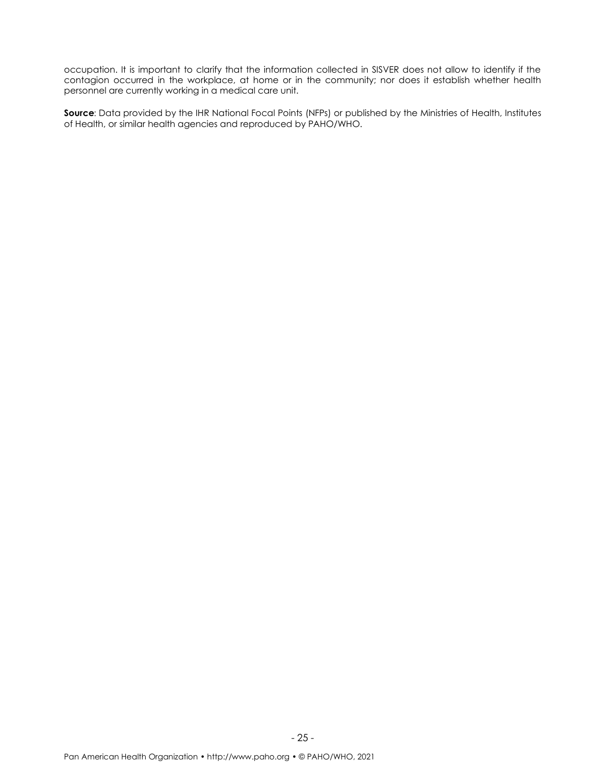occupation. It is important to clarify that the information collected in SISVER does not allow to identify if the contagion occurred in the workplace, at home or in the community; nor does it establish whether health personnel are currently working in a medical care unit.

**Source**: Data provided by the IHR National Focal Points (NFPs) or published by the Ministries of Health, Institutes of Health, or similar health agencies and reproduced by PAHO/WHO.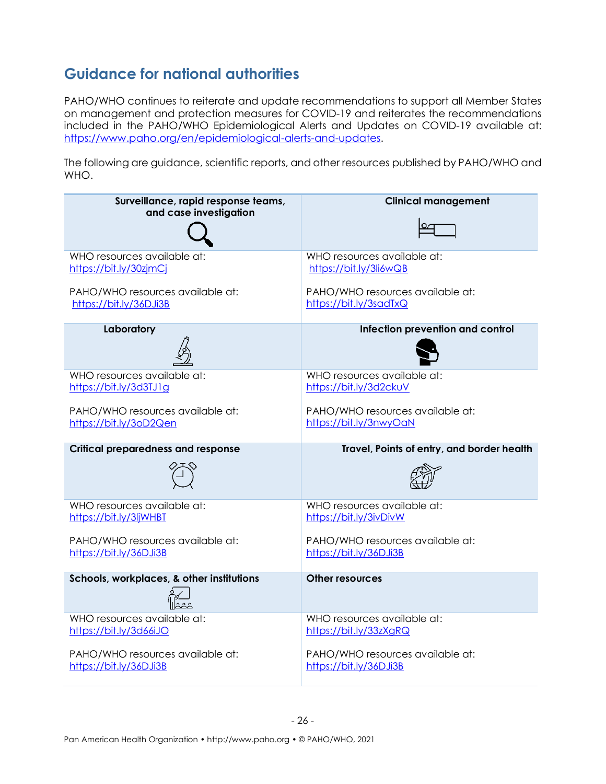### <span id="page-25-0"></span>**Guidance for national authorities**

PAHO/WHO continues to reiterate and update recommendations to support all Member States on management and protection measures for COVID-19 and reiterates the recommendations included in the PAHO/WHO Epidemiological Alerts and Updates on COVID-19 available at: [https://www.paho.org/en/epidemiological-alerts-and-updates.](https://www.paho.org/en/epidemiological-alerts-and-updates)

The following are guidance, scientific reports, and other resources published by PAHO/WHO and WHO.

| Surveillance, rapid response teams,       | <b>Clinical management</b>                 |  |  |  |
|-------------------------------------------|--------------------------------------------|--|--|--|
| and case investigation                    |                                            |  |  |  |
| WHO resources available at:               | WHO resources available at:                |  |  |  |
| https://bit.ly/30zjmCj                    | https://bit.ly/3li6wQB                     |  |  |  |
| PAHO/WHO resources available at:          | PAHO/WHO resources available at:           |  |  |  |
| https://bit.ly/36DJi3B                    | https://bit.ly/3sadTxQ                     |  |  |  |
| Laboratory                                | Infection prevention and control           |  |  |  |
| WHO resources available at:               | WHO resources available at:                |  |  |  |
| https://bit.ly/3d3TJ1g                    | https://bit.ly/3d2ckuV                     |  |  |  |
| PAHO/WHO resources available at:          | PAHO/WHO resources available at:           |  |  |  |
| https://bit.ly/3oD2Qen                    | https://bit.ly/3nwyOaN                     |  |  |  |
| <b>Critical preparedness and response</b> | Travel, Points of entry, and border health |  |  |  |
|                                           |                                            |  |  |  |
| WHO resources available at:               | WHO resources available at:                |  |  |  |
| https://bit.ly/3ljWHBT                    | https://bit.ly/3ivDivW                     |  |  |  |
| PAHO/WHO resources available at:          | PAHO/WHO resources available at:           |  |  |  |
| https://bit.ly/36DJi3B                    | https://bit.ly/36DJi3B                     |  |  |  |
| Schools, workplaces, & other institutions | <b>Other resources</b>                     |  |  |  |
|                                           |                                            |  |  |  |
| WHO resources available at:               | WHO resources available at:                |  |  |  |
| https://bit.ly/3d66iJO                    | https://bit.ly/33zXgRQ                     |  |  |  |
| PAHO/WHO resources available at:          | PAHO/WHO resources available at:           |  |  |  |
| https://bit.ly/36DJi3B                    | https://bit.ly/36DJi3B                     |  |  |  |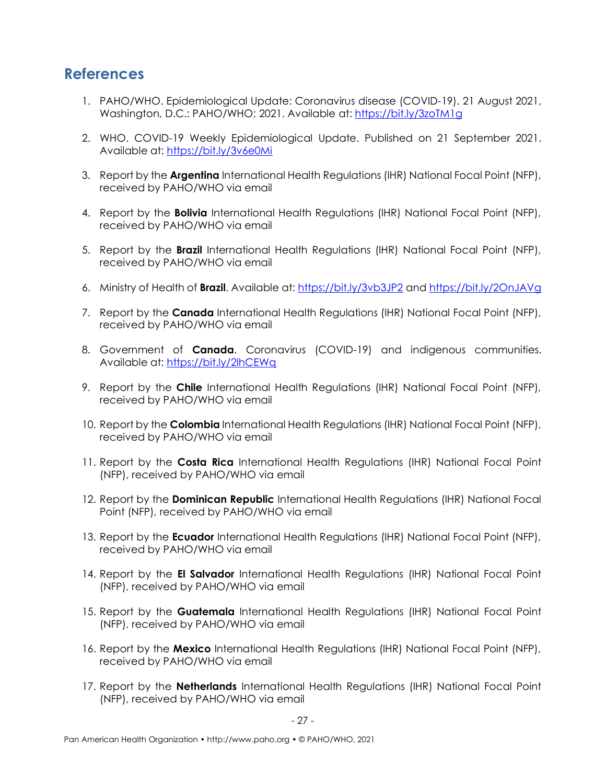#### <span id="page-26-0"></span>**References**

- 1. PAHO/WHO. Epidemiological Update: Coronavirus disease (COVID-19). 21 August 2021, Washington, D.C.: PAHO/WHO; 2021. Available at[: https://bit.ly/3zoTM1g](https://bit.ly/3zoTM1g)
- 2. WHO. COVID-19 Weekly Epidemiological Update. Published on 21 September 2021. Available at:<https://bit.ly/3v6e0Mi>
- 3. Report by the **Argentina** International Health Regulations (IHR) National Focal Point (NFP), received by PAHO/WHO via email
- 4. Report by the **Bolivia** International Health Regulations (IHR) National Focal Point (NFP), received by PAHO/WHO via email
- 5. Report by the **Brazil** International Health Regulations (IHR) National Focal Point (NFP), received by PAHO/WHO via email
- 6. Ministry of Health of **Brazil**. Available at: <https://bit.ly/3vb3JP2> and <https://bit.ly/2OnJAVg>
- 7. Report by the **Canada** International Health Regulations (IHR) National Focal Point (NFP), received by PAHO/WHO via email
- 8. Government of **Canada**. Coronavirus (COVID-19) and indigenous communities. Available at:<https://bit.ly/2IhCEWq>
- 9. Report by the **Chile** International Health Regulations (IHR) National Focal Point (NFP), received by PAHO/WHO via email
- 10. Report by the **Colombia** International Health Regulations (IHR) National Focal Point (NFP), received by PAHO/WHO via email
- 11. Report by the **Costa Rica** International Health Regulations (IHR) National Focal Point (NFP), received by PAHO/WHO via email
- 12. Report by the **Dominican Republic** International Health Regulations (IHR) National Focal Point (NFP), received by PAHO/WHO via email
- 13. Report by the **Ecuador** International Health Regulations (IHR) National Focal Point (NFP), received by PAHO/WHO via email
- 14. Report by the **El Salvador** International Health Regulations (IHR) National Focal Point (NFP), received by PAHO/WHO via email
- 15. Report by the **Guatemala** International Health Regulations (IHR) National Focal Point (NFP), received by PAHO/WHO via email
- 16. Report by the **Mexico** International Health Regulations (IHR) National Focal Point (NFP), received by PAHO/WHO via email
- 17. Report by the **Netherlands** International Health Regulations (IHR) National Focal Point (NFP), received by PAHO/WHO via email